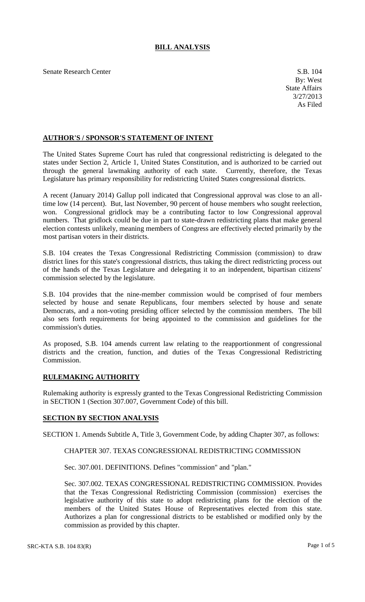# **BILL ANALYSIS**

Senate Research Center S.B. 104

## **AUTHOR'S / SPONSOR'S STATEMENT OF INTENT**

The United States Supreme Court has ruled that congressional redistricting is delegated to the states under Section 2, Article 1, United States Constitution, and is authorized to be carried out through the general lawmaking authority of each state. Currently, therefore, the Texas Legislature has primary responsibility for redistricting United States congressional districts.

A recent (January 2014) Gallup poll indicated that Congressional approval was close to an alltime low (14 percent). But, last November, 90 percent of house members who sought reelection, won. Congressional gridlock may be a contributing factor to low Congressional approval numbers. That gridlock could be due in part to state-drawn redistricting plans that make general election contests unlikely, meaning members of Congress are effectively elected primarily by the most partisan voters in their districts.

S.B. 104 creates the Texas Congressional Redistricting Commission (commission) to draw district lines for this state's congressional districts, thus taking the direct redistricting process out of the hands of the Texas Legislature and delegating it to an independent, bipartisan citizens' commission selected by the legislature.

S.B. 104 provides that the nine-member commission would be comprised of four members selected by house and senate Republicans, four members selected by house and senate Democrats, and a non-voting presiding officer selected by the commission members. The bill also sets forth requirements for being appointed to the commission and guidelines for the commission's duties.

As proposed, S.B. 104 amends current law relating to the reapportionment of congressional districts and the creation, function, and duties of the Texas Congressional Redistricting Commission.

#### **RULEMAKING AUTHORITY**

Rulemaking authority is expressly granted to the Texas Congressional Redistricting Commission in SECTION 1 (Section 307.007, Government Code) of this bill.

#### **SECTION BY SECTION ANALYSIS**

SECTION 1. Amends Subtitle A, Title 3, Government Code, by adding Chapter 307, as follows:

### CHAPTER 307. TEXAS CONGRESSIONAL REDISTRICTING COMMISSION

Sec. 307.001. DEFINITIONS. Defines "commission" and "plan."

Sec. 307.002. TEXAS CONGRESSIONAL REDISTRICTING COMMISSION. Provides that the Texas Congressional Redistricting Commission (commission) exercises the legislative authority of this state to adopt redistricting plans for the election of the members of the United States House of Representatives elected from this state. Authorizes a plan for congressional districts to be established or modified only by the commission as provided by this chapter.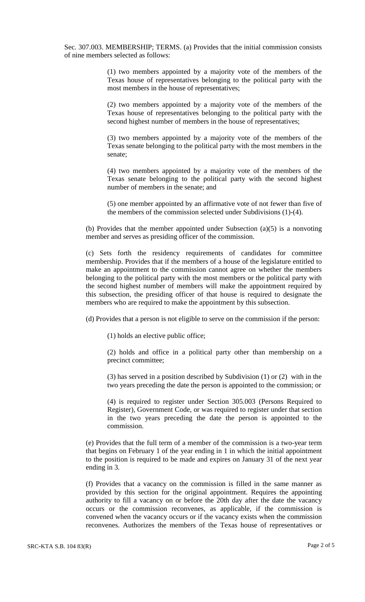Sec. 307.003. MEMBERSHIP; TERMS. (a) Provides that the initial commission consists of nine members selected as follows:

> (1) two members appointed by a majority vote of the members of the Texas house of representatives belonging to the political party with the most members in the house of representatives;

> (2) two members appointed by a majority vote of the members of the Texas house of representatives belonging to the political party with the second highest number of members in the house of representatives;

> (3) two members appointed by a majority vote of the members of the Texas senate belonging to the political party with the most members in the senate;

> (4) two members appointed by a majority vote of the members of the Texas senate belonging to the political party with the second highest number of members in the senate; and

> (5) one member appointed by an affirmative vote of not fewer than five of the members of the commission selected under Subdivisions (1)-(4).

(b) Provides that the member appointed under Subsection  $(a)(5)$  is a nonvoting member and serves as presiding officer of the commission.

(c) Sets forth the residency requirements of candidates for committee membership. Provides that if the members of a house of the legislature entitled to make an appointment to the commission cannot agree on whether the members belonging to the political party with the most members or the political party with the second highest number of members will make the appointment required by this subsection, the presiding officer of that house is required to designate the members who are required to make the appointment by this subsection.

(d) Provides that a person is not eligible to serve on the commission if the person:

(1) holds an elective public office;

(2) holds and office in a political party other than membership on a precinct committee;

(3) has served in a position described by Subdivision (1) or (2) with in the two years preceding the date the person is appointed to the commission; or

(4) is required to register under Section 305.003 (Persons Required to Register), Government Code, or was required to register under that section in the two years preceding the date the person is appointed to the commission.

(e) Provides that the full term of a member of the commission is a two-year term that begins on February 1 of the year ending in 1 in which the initial appointment to the position is required to be made and expires on January 31 of the next year ending in 3.

(f) Provides that a vacancy on the commission is filled in the same manner as provided by this section for the original appointment. Requires the appointing authority to fill a vacancy on or before the 20th day after the date the vacancy occurs or the commission reconvenes, as applicable, if the commission is convened when the vacancy occurs or if the vacancy exists when the commission reconvenes. Authorizes the members of the Texas house of representatives or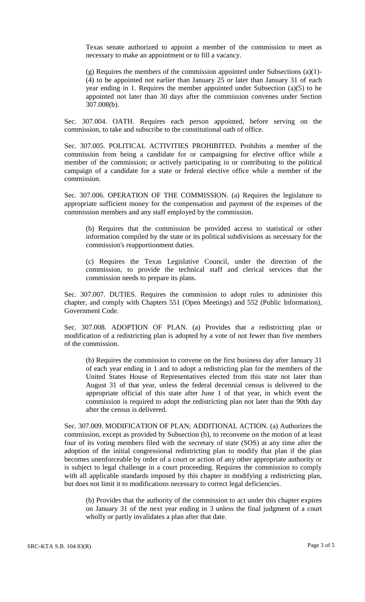Texas senate authorized to appoint a member of the commission to meet as necessary to make an appointment or to fill a vacancy.

(g) Requires the members of the commission appointed under Subsections (a)(1)- (4) to be appointed not earlier than January 25 or later than January 31 of each year ending in 1. Requires the member appointed under Subsection (a)(5) to be appointed not later than 30 days after the commission convenes under Section 307.008(b).

Sec. 307.004. OATH. Requires each person appointed, before serving on the commission, to take and subscribe to the constitutional oath of office.

Sec. 307.005. POLITICAL ACTIVITIES PROHIBITED. Prohibits a member of the commission from being a candidate for or campaigning for elective office while a member of the commission; or actively participating in or contributing to the political campaign of a candidate for a state or federal elective office while a member of the commission.

Sec. 307.006. OPERATION OF THE COMMISSION. (a) Requires the legislature to appropriate sufficient money for the compensation and payment of the expenses of the commission members and any staff employed by the commission.

(b) Requires that the commission be provided access to statistical or other information compiled by the state or its political subdivisions as necessary for the commission's reapportionment duties.

(c) Requires the Texas Legislative Council, under the direction of the commission, to provide the technical staff and clerical services that the commission needs to prepare its plans.

Sec. 307.007. DUTIES. Requires the commission to adopt rules to administer this chapter, and comply with Chapters 551 (Open Meetings) and 552 (Public Information), Government Code.

Sec. 307.008. ADOPTION OF PLAN. (a) Provides that a redistricting plan or modification of a redistricting plan is adopted by a vote of not fewer than five members of the commission.

(b) Requires the commission to convene on the first business day after January 31 of each year ending in 1 and to adopt a redistricting plan for the members of the United States House of Representatives elected from this state not later than August 31 of that year, unless the federal decennial census is delivered to the appropriate official of this state after June 1 of that year, in which event the commission is required to adopt the redistricting plan not later than the 90th day after the census is delivered.

Sec. 307.009. MODIFICATION OF PLAN; ADDITIONAL ACTION. (a) Authorizes the commission, except as provided by Subsection (b), to reconvene on the motion of at least four of its voting members filed with the secretary of state (SOS) at any time after the adoption of the initial congressional redistricting plan to modify that plan if the plan becomes unenforceable by order of a court or action of any other appropriate authority or is subject to legal challenge in a court proceeding. Requires the commission to comply with all applicable standards imposed by this chapter in modifying a redistricting plan, but does not limit it to modifications necessary to correct legal deficiencies.

(b) Provides that the authority of the commission to act under this chapter expires on January 31 of the next year ending in 3 unless the final judgment of a court wholly or partly invalidates a plan after that date.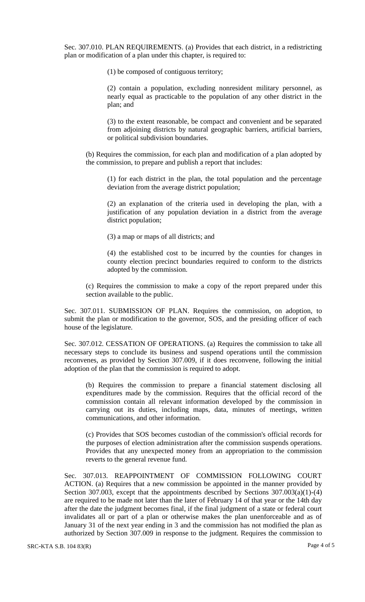Sec. 307.010. PLAN REQUIREMENTS. (a) Provides that each district, in a redistricting plan or modification of a plan under this chapter, is required to:

(1) be composed of contiguous territory;

(2) contain a population, excluding nonresident military personnel, as nearly equal as practicable to the population of any other district in the plan; and

(3) to the extent reasonable, be compact and convenient and be separated from adjoining districts by natural geographic barriers, artificial barriers, or political subdivision boundaries.

(b) Requires the commission, for each plan and modification of a plan adopted by the commission, to prepare and publish a report that includes:

(1) for each district in the plan, the total population and the percentage deviation from the average district population;

(2) an explanation of the criteria used in developing the plan, with a justification of any population deviation in a district from the average district population;

(3) a map or maps of all districts; and

(4) the established cost to be incurred by the counties for changes in county election precinct boundaries required to conform to the districts adopted by the commission.

(c) Requires the commission to make a copy of the report prepared under this section available to the public.

Sec. 307.011. SUBMISSION OF PLAN. Requires the commission, on adoption, to submit the plan or modification to the governor, SOS, and the presiding officer of each house of the legislature.

Sec. 307.012. CESSATION OF OPERATIONS. (a) Requires the commission to take all necessary steps to conclude its business and suspend operations until the commission reconvenes, as provided by Section 307.009, if it does reconvene, following the initial adoption of the plan that the commission is required to adopt.

(b) Requires the commission to prepare a financial statement disclosing all expenditures made by the commission. Requires that the official record of the commission contain all relevant information developed by the commission in carrying out its duties, including maps, data, minutes of meetings, written communications, and other information.

(c) Provides that SOS becomes custodian of the commission's official records for the purposes of election administration after the commission suspends operations. Provides that any unexpected money from an appropriation to the commission reverts to the general revenue fund.

Sec. 307.013. REAPPOINTMENT OF COMMISSION FOLLOWING COURT ACTION. (a) Requires that a new commission be appointed in the manner provided by Section 307.003, except that the appointments described by Sections 307.003(a)(1)-(4) are required to be made not later than the later of February 14 of that year or the 14th day after the date the judgment becomes final, if the final judgment of a state or federal court invalidates all or part of a plan or otherwise makes the plan unenforceable and as of January 31 of the next year ending in 3 and the commission has not modified the plan as authorized by Section 307.009 in response to the judgment. Requires the commission to